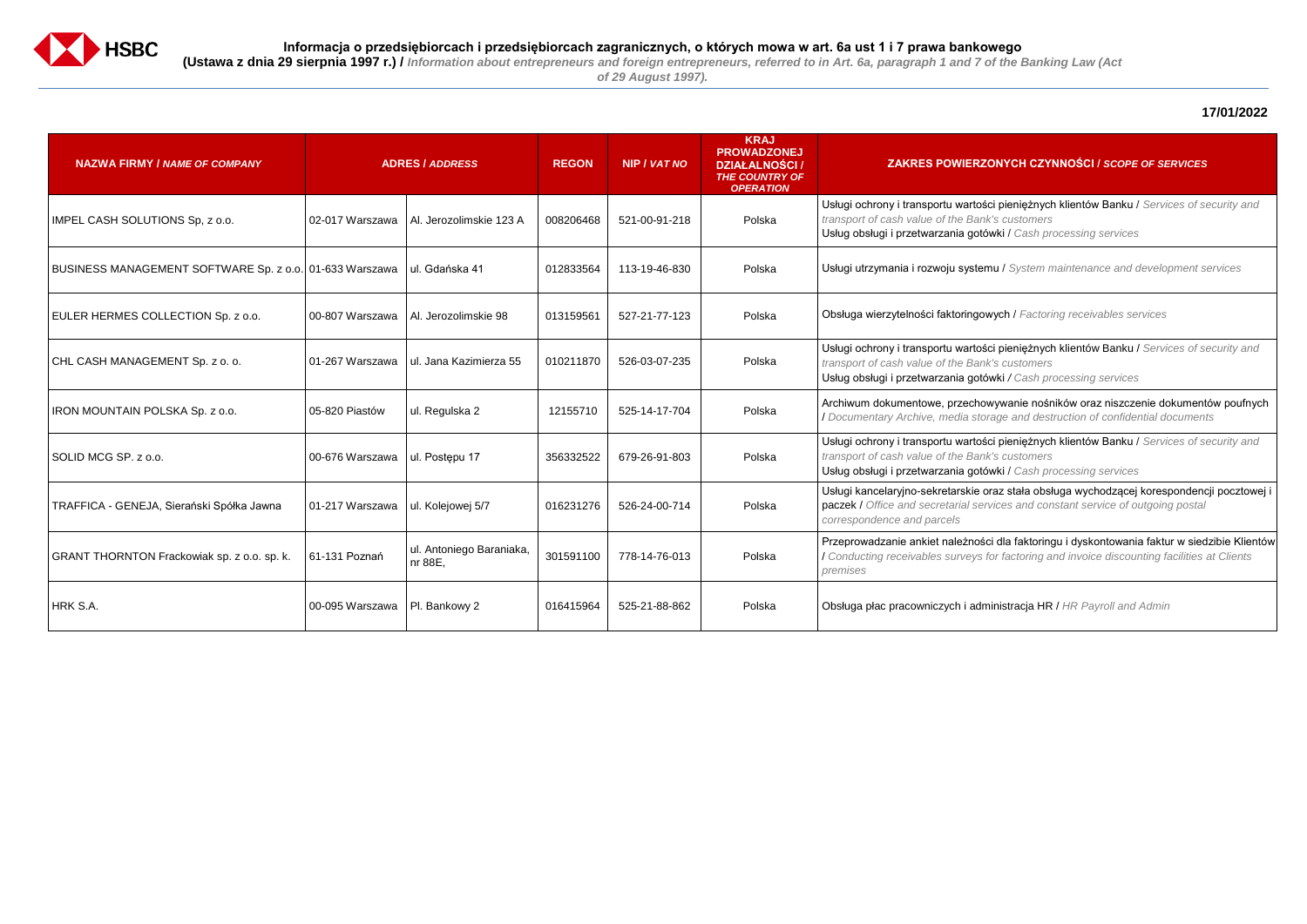

# **17/01/2022**

sci pieniężnych klientów Banku / Services of security and *transport of cash value of the Bank's customers*

#### **ZAKRES POWIERZONYCH CZYNNOŚCI /** *SCOPE OF SERVICES*

sci pieniężnych klientów Banku / Services of security and *transport of cash value of the Bank's customers*

Usług obsługi i przetwarzania gotówki / *Cash processing services*

 $B$ using System maintenance and development services

**EULER Syr 2008 Sp. 2008 Survices** Survices

bwywanie nośników oraz niszczenie dokumentów poufnych / *Documentary Archive, media storage and destruction of confidential documents*

sci pieniężnych klientów Banku / Services of security and *transport of cash value of the Bank's customers*

oraz stała obsługa wychodzącej korespondencji pocztowej i paczek / *Office and secretarial services and constant service of outgoing postal* 

ści dla faktoringu i dyskontowania faktur w siedzibie Klientów / *Conducting receivables surveys for factoring and invoice discounting facilities at Clients* 

ministracja HR / HR Payroll and Admin

Usług obsługi i przetwarzania gotówki */ Cash processing services*

| <b>NAZWA FIRMY / NAME OF COMPANY</b>                    | <b>ADRES / ADDRESS</b> |                                     | <b>REGON</b> | <b>NIP / VAT NO</b> | <b>KRAJ</b><br><b>PROWADZONEJ</b><br><b>DZIAŁALNOŚCI /</b><br><b>THE COUNTRY OF</b><br><b>OPERATION</b> | <b>ZAKRES POWIERZ</b>                                                                                          |
|---------------------------------------------------------|------------------------|-------------------------------------|--------------|---------------------|---------------------------------------------------------------------------------------------------------|----------------------------------------------------------------------------------------------------------------|
| IMPEL CASH SOLUTIONS Sp, z o.o.                         | 02-017 Warszawa        | Al. Jerozolimskie 123 A             | 008206468    | 521-00-91-218       | Polska                                                                                                  | Usługi ochrony i transportu wartoś<br>transport of cash value of the Ban<br>Usług obsługi i przetwarzania gotó |
| BUSINESS MANAGEMENT SOFTWARE Sp. z o.o. 01-633 Warszawa |                        | ul. Gdańska 41                      | 012833564    | 113-19-46-830       | Polska                                                                                                  | Usługi utrzymania i rozwoju syster                                                                             |
| EULER HERMES COLLECTION Sp. z o.o.                      | 00-807 Warszawa        | Al. Jerozolimskie 98                | 013159561    | 527-21-77-123       | Polska                                                                                                  | Obsługa wierzytelności faktoringo                                                                              |
| CHL CASH MANAGEMENT Sp. z o. o.                         | 01-267 Warszawa        | ul. Jana Kazimierza 55              | 010211870    | 526-03-07-235       | Polska                                                                                                  | Usługi ochrony i transportu wartoś<br>transport of cash value of the Ban<br>Usług obsługi i przetwarzania gotó |
| IRON MOUNTAIN POLSKA Sp. z o.o.                         | 05-820 Piastów         | ul. Regulska 2                      | 12155710     | 525-14-17-704       | Polska                                                                                                  | Archiwum dokumentowe, przecho<br>/ Documentary Archive, media sto                                              |
| SOLID MCG SP. z o.o.                                    | 00-676 Warszawa        | ul. Postępu 17                      | 356332522    | 679-26-91-803       | Polska                                                                                                  | Usługi ochrony i transportu wartoś<br>transport of cash value of the Ban<br>Usług obsługi i przetwarzania gotó |
| TRAFFICA - GENEJA, Sierański Spółka Jawna               | 01-217 Warszawa        | ul. Kolejowej 5/7                   | 016231276    | 526-24-00-714       | Polska                                                                                                  | Usługi kancelaryjno-sekretarskie o<br>paczek / Office and secretarial sel<br>correspondence and parcels        |
| GRANT THORNTON Frackowiak sp. z o.o. sp. k.             | 61-131 Poznań          | ul. Antoniego Baraniaka,<br>nr 88E, | 301591100    | 778-14-76-013       | Polska                                                                                                  | Przeprowadzanie ankiet należnoś<br>Conducting receivables surveys<br>premises                                  |
| HRK S.A.                                                | 00-095 Warszawa        | Pl. Bankowy 2                       | 016415964    | 525-21-88-862       | Polska                                                                                                  | Obsługa płac pracowniczych i adn                                                                               |

Usług obsługi i przetwarzania gotówki / *Cash processing services*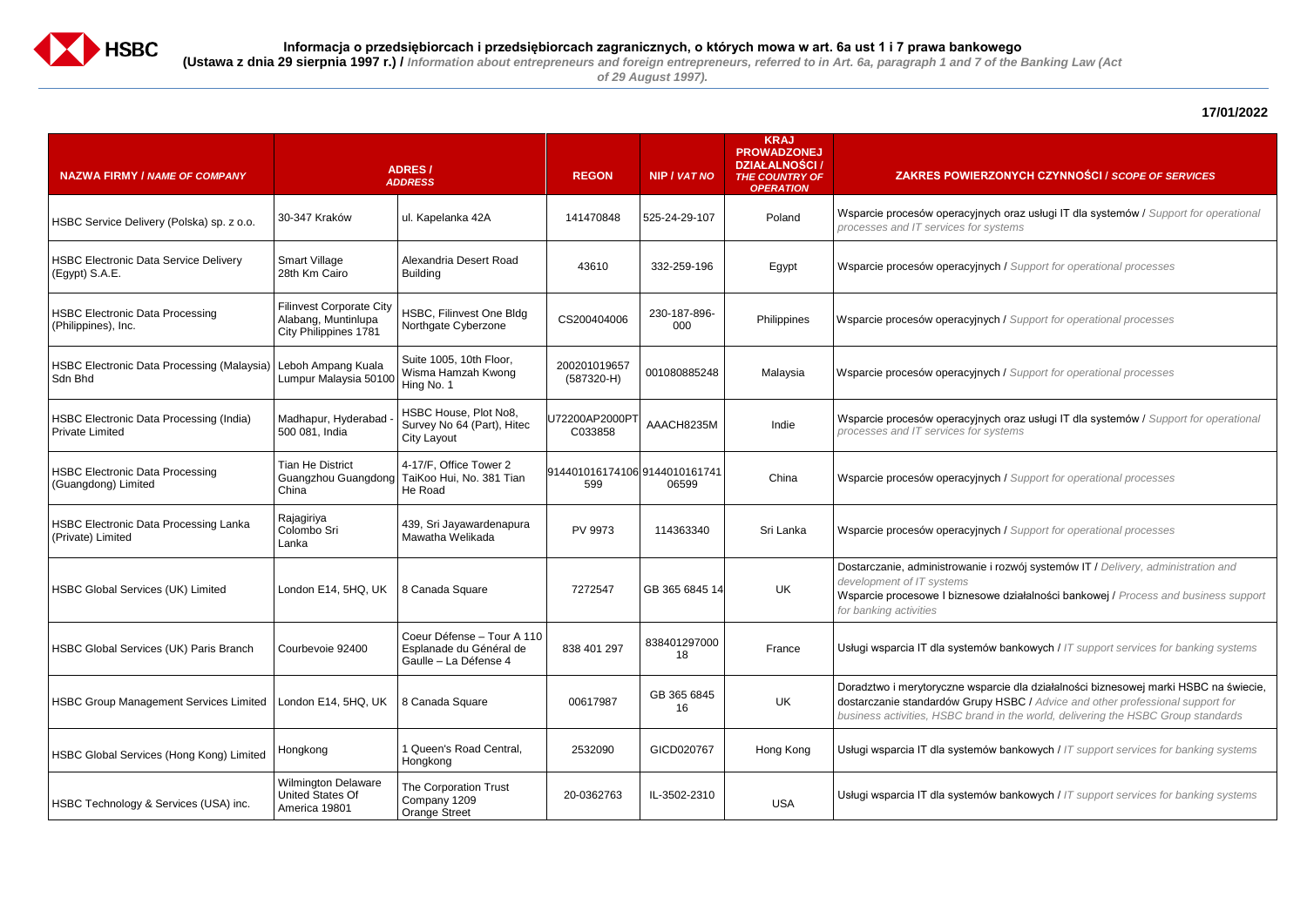

*of 29 August 1997).*

## **17/01/2022**

 $y$ ch oraz usługi IT dla systemów / *Support for operational processes and IT services for systems*

#### **ZAKRES POWIERZONYCH CZYNNOŚCI /** *SCOPE OF SERVICES*

Building <sup>43610</sup> 332-259-196 Egypt Wsparcie procesów operacyjnych / *Support for operational processes*

<sup>000</sup> Philippines Wsparcie procesów operacyjnych / *Support for operational processes* 

(587320-H) <sup>001080885248</sup> Malaysia Wsparcie procesów operacyjnych / *Support for operational processes*

arcie dla działalności biznesowej marki HSBC na świecie, by HSBC / *Advice and other professional support for business activities, HSBC brand in the world, delivering the HSBC Group standards*

**Examber 6335** Guarantia Ushugi weight wish wish wishing systems

**Examber 20-035 IL-350 Indersal Systems** in that support services for banking systems

C033858 AAACH8235M Indie Wsparcie procesów operacyjnych oraz usługi IT dla systemów / *Support for operational processes and IT services for systems*

| <b>NAZWA FIRMY / NAME OF COMPANY</b>                              |                                                                                 | <b>ADRES/</b><br><b>ADDRESS</b>                                                     | <b>REGON</b>                         | <b>NIP / VAT NO</b> | <b>KRAJ</b><br><b>PROWADZONEJ</b><br><b>DZIAŁALNOŚCI /</b><br><b>THE COUNTRY OF</b><br><b>OPERATION</b> | <b>ZAKRES POWIER</b>                                                                                                 |
|-------------------------------------------------------------------|---------------------------------------------------------------------------------|-------------------------------------------------------------------------------------|--------------------------------------|---------------------|---------------------------------------------------------------------------------------------------------|----------------------------------------------------------------------------------------------------------------------|
| HSBC Service Delivery (Polska) sp. z o.o.                         | 30-347 Kraków                                                                   | ul. Kapelanka 42A                                                                   | 141470848                            | 525-24-29-107       | Poland                                                                                                  | Wsparcie procesów operacyjny<br>processes and IT services for s                                                      |
| <b>HSBC Electronic Data Service Delivery</b><br>(Egypt) S.A.E.    | <b>Smart Village</b><br>28th Km Cairo                                           | Alexandria Desert Road<br><b>Building</b>                                           | 43610                                | 332-259-196         | Egypt                                                                                                   | Wsparcie procesów operacyjny                                                                                         |
| <b>HSBC Electronic Data Processing</b><br>(Philippines), Inc.     | <b>Filinvest Corporate City</b><br>Alabang, Muntinlupa<br>City Philippines 1781 | HSBC, Filinvest One Bldg<br>Northgate Cyberzone                                     | CS200404006                          | 230-187-896-<br>000 | Philippines                                                                                             | Wsparcie procesów operacyjny                                                                                         |
| HSBC Electronic Data Processing (Malaysia)<br>Sdn Bhd             | Leboh Ampang Kuala<br>Lumpur Malaysia 50100                                     | Suite 1005, 10th Floor,<br>Wisma Hamzah Kwong<br>Hing No. 1                         | 200201019657<br>$(587320-H)$         | 001080885248        | Malaysia                                                                                                | Wsparcie procesów operacyjny                                                                                         |
| HSBC Electronic Data Processing (India)<br><b>Private Limited</b> | Madhapur, Hyderabad<br>500 081, India                                           | HSBC House, Plot No8,<br>Survey No 64 (Part), Hitec<br>City Layout                  | U72200AP2000PT<br>C033858            | AAACH8235M          | Indie                                                                                                   | Wsparcie procesów operacyjny<br>processes and IT services for s                                                      |
| <b>HSBC Electronic Data Processing</b><br>(Guangdong) Limited     | <b>Tian He District</b><br>China                                                | 4-17/F, Office Tower 2<br>Guangzhou Guangdong   TaiKoo Hui, No. 381 Tian<br>He Road | 914401016174106 9144010161741<br>599 | 06599               | China                                                                                                   | Wsparcie procesów operacyjny                                                                                         |
| HSBC Electronic Data Processing Lanka<br>(Private) Limited        | Rajagiriya<br>Colombo Sri<br>Lanka                                              | 439, Sri Jayawardenapura<br>Mawatha Welikada                                        | PV 9973                              | 114363340           | Sri Lanka                                                                                               | Wsparcie procesów operacyjny                                                                                         |
| <b>HSBC Global Services (UK) Limited</b>                          | London E14, 5HQ, UK                                                             | 8 Canada Square                                                                     | 7272547                              | GB 365 6845 14      | <b>UK</b>                                                                                               | Dostarczanie, administrowanie<br>development of IT systems<br>Wsparcie procesowe I bizneso<br>for banking activities |
| <b>HSBC Global Services (UK) Paris Branch</b>                     | Courbevoie 92400                                                                | Coeur Défense - Tour A 110<br>Esplanade du Général de<br>Gaulle - La Défense 4      | 838 401 297                          | 838401297000<br>18  | France                                                                                                  | Usługi wsparcia IT dla systemó                                                                                       |
| <b>HSBC Group Management Services Limited</b>                     | London E14, 5HQ, UK                                                             | 8 Canada Square                                                                     | 00617987                             | GB 365 6845<br>16   | UK                                                                                                      | Doradztwo i merytoryczne wsp<br>dostarczanie standardów Grup<br>business activities, HSBC bran                       |
| HSBC Global Services (Hong Kong) Limited                          | Hongkong                                                                        | 1 Queen's Road Central,<br>Hongkong                                                 | 2532090                              | GICD020767          | Hong Kong                                                                                               | Usługi wsparcia IT dla systemó                                                                                       |
| HSBC Technology & Services (USA) inc.                             | <b>Wilmington Delaware</b><br>United States Of<br>America 19801                 | The Corporation Trust<br>Company 1209<br><b>Orange Street</b>                       | 20-0362763                           | IL-3502-2310        | <b>USA</b>                                                                                              | Usługi wsparcia IT dla systemó                                                                                       |

<sup>06599</sup> China Wsparcie procesów operacyjnych / *Support for operational processes*

Mawatha Welikada PV 9973 <sup>114363340</sup> Sri Lanka Wsparcie procesów operacyjnych / *Support for operational processes*

 $\overline{\textbf{a}}$  i rozwój systemów IT / *Delivery, administration and* 

we działalności bankowej / *Process and business support* 

france Ushankowych / IT support services for banking systems